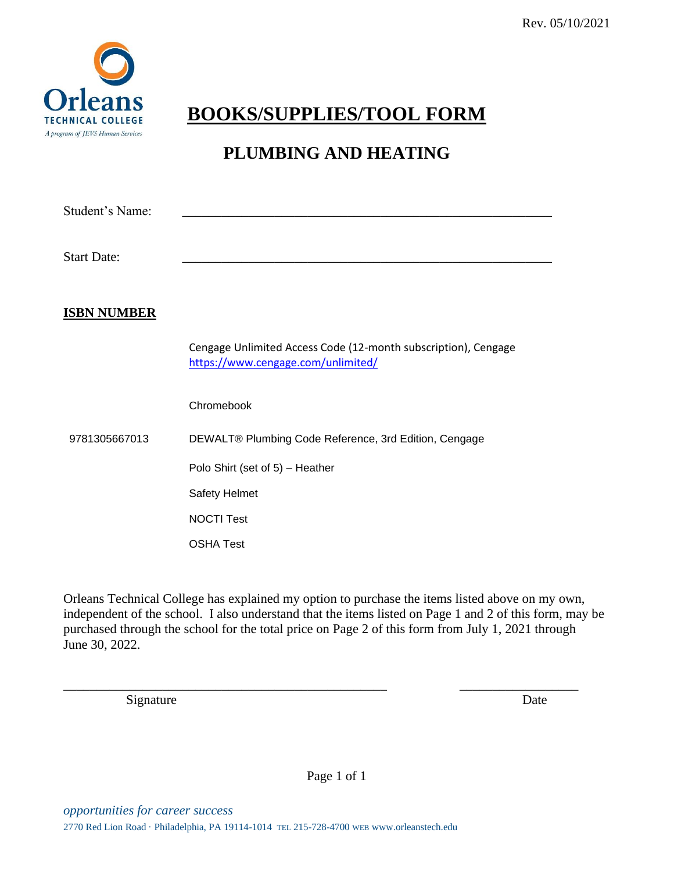

## **BOOKS/SUPPLIES/TOOL FORM**

## **PLUMBING AND HEATING**

| Student's Name:    |                                                                                                      |
|--------------------|------------------------------------------------------------------------------------------------------|
| <b>Start Date:</b> |                                                                                                      |
| <b>ISBN NUMBER</b> |                                                                                                      |
|                    | Cengage Unlimited Access Code (12-month subscription), Cengage<br>https://www.cengage.com/unlimited/ |
| 9781305667013      | Chromebook                                                                                           |
|                    | DEWALT® Plumbing Code Reference, 3rd Edition, Cengage                                                |
|                    | Polo Shirt (set of 5) - Heather                                                                      |
|                    | Safety Helmet                                                                                        |
|                    | <b>NOCTI Test</b>                                                                                    |
|                    | <b>OSHA Test</b>                                                                                     |

Orleans Technical College has explained my option to purchase the items listed above on my own, independent of the school. I also understand that the items listed on Page 1 and 2 of this form, may be purchased through the school for the total price on Page 2 of this form from July 1, 2021 through June 30, 2022.

\_\_\_\_\_\_\_\_\_\_\_\_\_\_\_\_\_\_\_\_\_\_\_\_\_\_\_\_\_\_\_\_\_\_\_\_\_\_\_\_\_\_\_\_\_\_\_\_\_ \_\_\_\_\_\_\_\_\_\_\_\_\_\_\_\_\_\_

Signature Date

Page 1 of 1